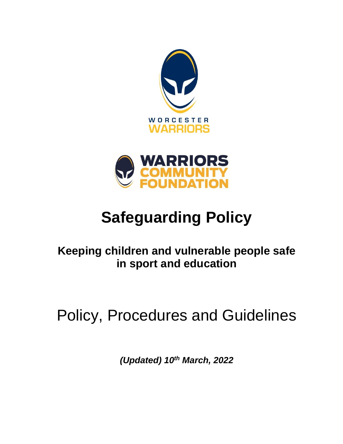



# **Safeguarding Policy**

# **Keeping children and vulnerable people safe in sport and education**

# Policy, Procedures and Guidelines

*(Updated) 10th March, 2022*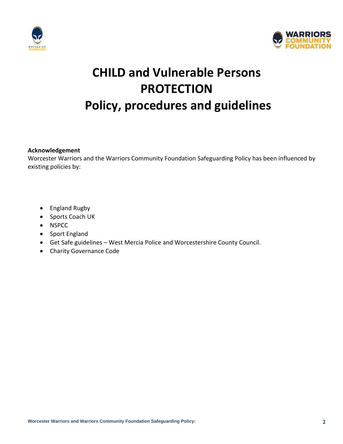



# **CHILD and Vulnerable Persons PROTECTION Policy, procedures and guidelines**

**Acknowledgement**

Worcester Warriors and the Warriors Community Foundation Safeguarding Policy has been influenced by existing policies by:

- England Rugby
- Sports Coach UK
- NSPCC
- Sport England
- Get Safe guidelines West Mercia Police and Worcestershire County Council.
- Charity Governance Code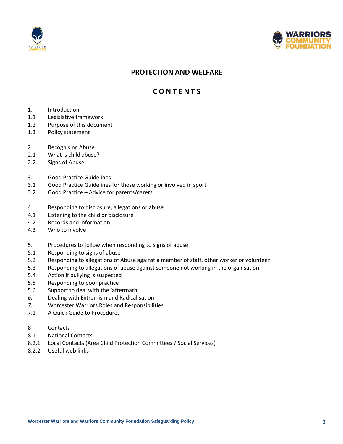



## **PROTECTION AND WELFARE**

## **C O N T E N T S**

- 1. Introduction
- 1.1 Legislative framework
- 1.2 Purpose of this document
- 1.3 Policy statement
- 2. Recognising Abuse
- 2.1 What is child abuse?
- 2.2 Signs of Abuse
- 3. Good Practice Guidelines
- 3.1 Good Practice Guidelines for those working or involved in sport
- 3.2 Good Practice Advice for parents/carers
- 4. Responding to disclosure, allegations or abuse
- 4.1 Listening to the child or disclosure
- 4.2 Records and information
- 4.3 Who to involve
- 5. Procedures to follow when responding to signs of abuse
- 5.1 Responding to signs of abuse
- 5.2 Responding to allegations of Abuse against a member of staff, other worker or volunteer
- 5.3 Responding to allegations of abuse against someone not working in the organisation
- 5.4 Action if bullying is suspected
- 5.5 Responding to poor practice
- 5.6 Support to deal with the 'aftermath'
- *6.* Dealing with Extremism and Radicalisation
- *7.* Worcester Warriors Roles and Responsibilities
- 7.1 A Quick Guide to Procedures
- 8 Contacts
- 8.1 National Contacts
- 8.2.1 Local Contacts (Area Child Protection Committees / Social Services)
- 8.2.2 Useful web links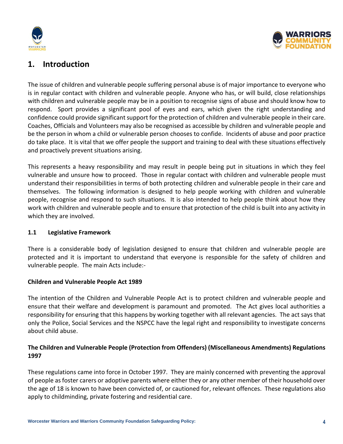



# **1. Introduction**

The issue of children and vulnerable people suffering personal abuse is of major importance to everyone who is in regular contact with children and vulnerable people. Anyone who has, or will build, close relationships with children and vulnerable people may be in a position to recognise signs of abuse and should know how to respond. Sport provides a significant pool of eyes and ears, which given the right understanding and confidence could provide significant support for the protection of children and vulnerable people in their care. Coaches, Officials and Volunteers may also be recognised as accessible by children and vulnerable people and be the person in whom a child or vulnerable person chooses to confide. Incidents of abuse and poor practice do take place. It is vital that we offer people the support and training to deal with these situations effectively and proactively prevent situations arising.

This represents a heavy responsibility and may result in people being put in situations in which they feel vulnerable and unsure how to proceed. Those in regular contact with children and vulnerable people must understand their responsibilities in terms of both protecting children and vulnerable people in their care and themselves. The following information is designed to help people working with children and vulnerable people, recognise and respond to such situations. It is also intended to help people think about how they work with children and vulnerable people and to ensure that protection of the child is built into any activity in which they are involved.

## **1.1 Legislative Framework**

There is a considerable body of legislation designed to ensure that children and vulnerable people are protected and it is important to understand that everyone is responsible for the safety of children and vulnerable people. The main Acts include:-

## **Children and Vulnerable People Act 1989**

The intention of the Children and Vulnerable People Act is to protect children and vulnerable people and ensure that their welfare and development is paramount and promoted. The Act gives local authorities a responsibility for ensuring that this happens by working together with all relevant agencies. The act says that only the Police, Social Services and the NSPCC have the legal right and responsibility to investigate concerns about child abuse.

## **The Children and Vulnerable People (Protection from Offenders) (Miscellaneous Amendments) Regulations 1997**

These regulations came into force in October 1997. They are mainly concerned with preventing the approval of people as foster carers or adoptive parents where either they or any other member of their household over the age of 18 is known to have been convicted of, or cautioned for, relevant offences. These regulations also apply to childminding, private fostering and residential care.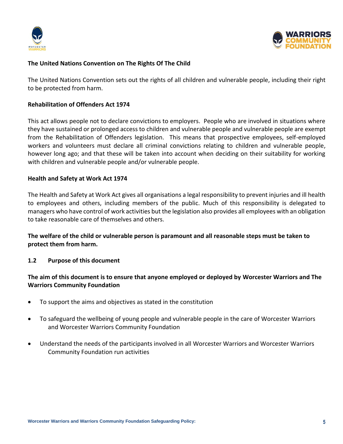



## **The United Nations Convention on The Rights Of The Child**

The United Nations Convention sets out the rights of all children and vulnerable people, including their right to be protected from harm.

## **Rehabilitation of Offenders Act 1974**

This act allows people not to declare convictions to employers. People who are involved in situations where they have sustained or prolonged access to children and vulnerable people and vulnerable people are exempt from the Rehabilitation of Offenders legislation. This means that prospective employees, self-employed workers and volunteers must declare all criminal convictions relating to children and vulnerable people, however long ago; and that these will be taken into account when deciding on their suitability for working with children and vulnerable people and/or vulnerable people.

## **Health and Safety at Work Act 1974**

The Health and Safety at Work Act gives all organisations a legal responsibility to prevent injuries and ill health to employees and others, including members of the public. Much of this responsibility is delegated to managers who have control of work activities but the legislation also provides all employees with an obligation to take reasonable care of themselves and others.

## **The welfare of the child or vulnerable person is paramount and all reasonable steps must be taken to protect them from harm.**

## **1.2 Purpose of this document**

## **The aim of this document is to ensure that anyone employed or deployed by Worcester Warriors and The Warriors Community Foundation**

- To support the aims and objectives as stated in the constitution
- To safeguard the wellbeing of young people and vulnerable people in the care of Worcester Warriors and Worcester Warriors Community Foundation
- Understand the needs of the participants involved in all Worcester Warriors and Worcester Warriors Community Foundation run activities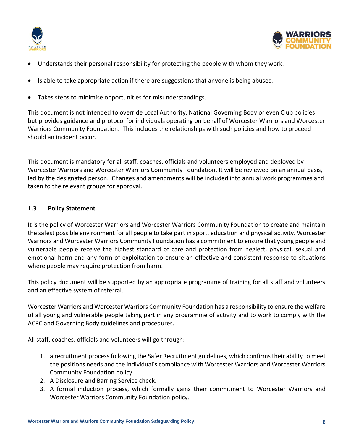



- Understands their personal responsibility for protecting the people with whom they work.
- Is able to take appropriate action if there are suggestions that anyone is being abused.
- Takes steps to minimise opportunities for misunderstandings.

This document is not intended to override Local Authority, National Governing Body or even Club policies but provides guidance and protocol for individuals operating on behalf of Worcester Warriors and Worcester Warriors Community Foundation. This includes the relationships with such policies and how to proceed should an incident occur.

This document is mandatory for all staff, coaches, officials and volunteers employed and deployed by Worcester Warriors and Worcester Warriors Community Foundation. It will be reviewed on an annual basis, led by the designated person. Changes and amendments will be included into annual work programmes and taken to the relevant groups for approval.

## **1.3 Policy Statement**

It is the policy of Worcester Warriors and Worcester Warriors Community Foundation to create and maintain the safest possible environment for all people to take part in sport, education and physical activity. Worcester Warriors and Worcester Warriors Community Foundation has a commitment to ensure that young people and vulnerable people receive the highest standard of care and protection from neglect, physical, sexual and emotional harm and any form of exploitation to ensure an effective and consistent response to situations where people may require protection from harm.

This policy document will be supported by an appropriate programme of training for all staff and volunteers and an effective system of referral.

Worcester Warriors and Worcester Warriors Community Foundation has a responsibility to ensure the welfare of all young and vulnerable people taking part in any programme of activity and to work to comply with the ACPC and Governing Body guidelines and procedures.

All staff, coaches, officials and volunteers will go through:

- 1. a recruitment process following the Safer Recruitment guidelines, which confirms their ability to meet the positions needs and the individual's compliance with Worcester Warriors and Worcester Warriors Community Foundation policy.
- 2. A Disclosure and Barring Service check.
- 3. A formal induction process, which formally gains their commitment to Worcester Warriors and Worcester Warriors Community Foundation policy.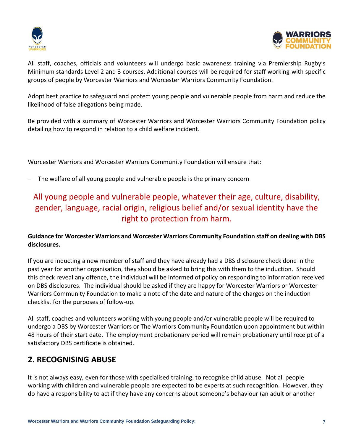



All staff, coaches, officials and volunteers will undergo basic awareness training via Premiership Rugby's Minimum standards Level 2 and 3 courses. Additional courses will be required for staff working with specific groups of people by Worcester Warriors and Worcester Warriors Community Foundation.

Adopt best practice to safeguard and protect young people and vulnerable people from harm and reduce the likelihood of false allegations being made.

Be provided with a summary of Worcester Warriors and Worcester Warriors Community Foundation policy detailing how to respond in relation to a child welfare incident.

Worcester Warriors and Worcester Warriors Community Foundation will ensure that:

The welfare of all young people and vulnerable people is the primary concern

# All young people and vulnerable people, whatever their age, culture, disability, gender, language, racial origin, religious belief and/or sexual identity have the right to protection from harm.

## **Guidance for Worcester Warriors and Worcester Warriors Community Foundation staff on dealing with DBS disclosures.**

If you are inducting a new member of staff and they have already had a DBS disclosure check done in the past year for another organisation, they should be asked to bring this with them to the induction. Should this check reveal any offence, the individual will be informed of policy on responding to information received on DBS disclosures. The individual should be asked if they are happy for Worcester Warriors or Worcester Warriors Community Foundation to make a note of the date and nature of the charges on the induction checklist for the purposes of follow-up.

All staff, coaches and volunteers working with young people and/or vulnerable people will be required to undergo a DBS by Worcester Warriors or The Warriors Community Foundation upon appointment but within 48 hours of their start date. The employment probationary period will remain probationary until receipt of a satisfactory DBS certificate is obtained.

## **2. RECOGNISING ABUSE**

It is not always easy, even for those with specialised training, to recognise child abuse. Not all people working with children and vulnerable people are expected to be experts at such recognition. However, they do have a responsibility to act if they have any concerns about someone's behaviour (an adult or another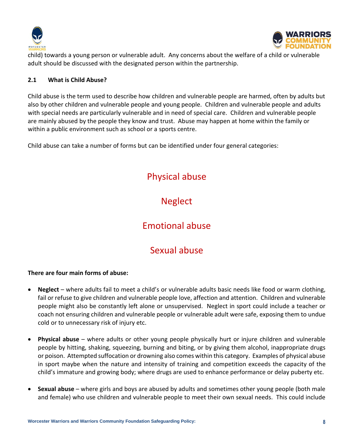



child) towards a young person or vulnerable adult. Any concerns about the welfare of a child or vulnerable adult should be discussed with the designated person within the partnership.

## **2.1 What is Child Abuse?**

Child abuse is the term used to describe how children and vulnerable people are harmed, often by adults but also by other children and vulnerable people and young people. Children and vulnerable people and adults with special needs are particularly vulnerable and in need of special care. Children and vulnerable people are mainly abused by the people they know and trust. Abuse may happen at home within the family or within a public environment such as school or a sports centre.

Child abuse can take a number of forms but can be identified under four general categories:

# Physical abuse

# **Neglect**

# Emotional abuse

# Sexual abuse

## **There are four main forms of abuse:**

- **Neglect** where adults fail to meet a child's or vulnerable adults basic needs like food or warm clothing, fail or refuse to give children and vulnerable people love, affection and attention. Children and vulnerable people might also be constantly left alone or unsupervised. Neglect in sport could include a teacher or coach not ensuring children and vulnerable people or vulnerable adult were safe, exposing them to undue cold or to unnecessary risk of injury etc.
- **Physical abuse** where adults or other young people physically hurt or injure children and vulnerable people by hitting, shaking, squeezing, burning and biting, or by giving them alcohol, inappropriate drugs or poison. Attempted suffocation or drowning also comes within this category. Examples of physical abuse in sport maybe when the nature and intensity of training and competition exceeds the capacity of the child's immature and growing body; where drugs are used to enhance performance or delay puberty etc.
- **Sexual abuse** where girls and boys are abused by adults and sometimes other young people (both male and female) who use children and vulnerable people to meet their own sexual needs. This could include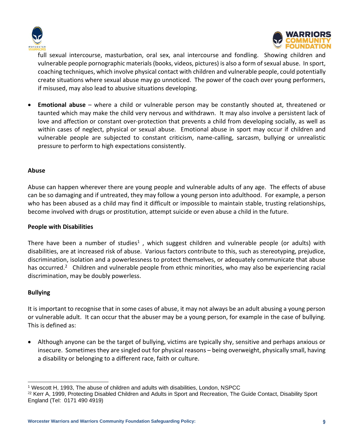



full sexual intercourse, masturbation, oral sex, anal intercourse and fondling. Showing children and vulnerable people pornographic materials (books, videos, pictures) is also a form of sexual abuse. In sport, coaching techniques, which involve physical contact with children and vulnerable people, could potentially create situations where sexual abuse may go unnoticed. The power of the coach over young performers, if misused, may also lead to abusive situations developing.

• **Emotional abuse** – where a child or vulnerable person may be constantly shouted at, threatened or taunted which may make the child very nervous and withdrawn. It may also involve a persistent lack of love and affection or constant over-protection that prevents a child from developing socially, as well as within cases of neglect, physical or sexual abuse. Emotional abuse in sport may occur if children and vulnerable people are subjected to constant criticism, name-calling, sarcasm, bullying or unrealistic pressure to perform to high expectations consistently.

## **Abuse**

Abuse can happen wherever there are young people and vulnerable adults of any age. The effects of abuse can be so damaging and if untreated, they may follow a young person into adulthood. For example, a person who has been abused as a child may find it difficult or impossible to maintain stable, trusting relationships, become involved with drugs or prostitution, attempt suicide or even abuse a child in the future.

### **People with Disabilities**

There have been a number of studies<sup>1</sup>, which suggest children and vulnerable people (or adults) with disabilities, are at increased risk of abuse. Various factors contribute to this, such as stereotyping, prejudice, discrimination, isolation and a powerlessness to protect themselves, or adequately communicate that abuse has occurred.<sup>2</sup> Children and vulnerable people from ethnic minorities, who may also be experiencing racial discrimination, may be doubly powerless.

## **Bullying**

It is important to recognise that in some cases of abuse, it may not always be an adult abusing a young person or vulnerable adult. It can occur that the abuser may be a young person, for example in the case of bullying. This is defined as:

• Although anyone can be the target of bullying, victims are typically shy, sensitive and perhaps anxious or insecure. Sometimes they are singled out for physical reasons – being overweight, physically small, having a disability or belonging to a different race, faith or culture.

<sup>1</sup> Wescott H, 1993, The abuse of children and adults with disabilities, London, NSPCC

<sup>&</sup>lt;sup>22</sup> Kerr A, 1999, Protecting Disabled Children and Adults in Sport and Recreation, The Guide Contact, Disability Sport England (Tel: 0171 490 4919)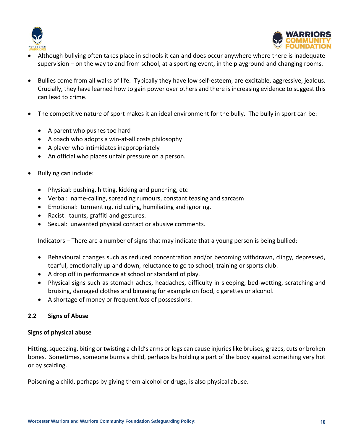



- Although bullying often takes place in schools it can and does occur anywhere where there is inadequate supervision – on the way to and from school, at a sporting event, in the playground and changing rooms.
- Bullies come from all walks of life. Typically they have low self-esteem, are excitable, aggressive, jealous. Crucially, they have learned how to gain power over others and there is increasing evidence to suggest this can lead to crime.
- The competitive nature of sport makes it an ideal environment for the bully. The bully in sport can be:
	- A parent who pushes too hard
	- A coach who adopts a win-at-all costs philosophy
	- A player who intimidates inappropriately
	- An official who places unfair pressure on a person.
- Bullying can include:
	- Physical: pushing, hitting, kicking and punching, etc
	- Verbal: name-calling, spreading rumours, constant teasing and sarcasm
	- Emotional: tormenting, ridiculing, humiliating and ignoring.
	- Racist: taunts, graffiti and gestures.
	- Sexual: unwanted physical contact or abusive comments.

Indicators – There are a number of signs that may indicate that a young person is being bullied:

- Behavioural changes such as reduced concentration and/or becoming withdrawn, clingy, depressed, tearful, emotionally up and down, reluctance to go to school, training or sports club.
- A drop off in performance at school or standard of play.
- Physical signs such as stomach aches, headaches, difficulty in sleeping, bed-wetting, scratching and bruising, damaged clothes and bingeing for example on food, cigarettes or alcohol.
- A shortage of money or frequent *loss* of possessions.

## **2.2 Signs of Abuse**

## **Signs of physical abuse**

Hitting, squeezing, biting or twisting a child's arms or legs can cause injuries like bruises, grazes, cuts or broken bones. Sometimes, someone burns a child, perhaps by holding a part of the body against something very hot or by scalding.

Poisoning a child, perhaps by giving them alcohol or drugs, is also physical abuse.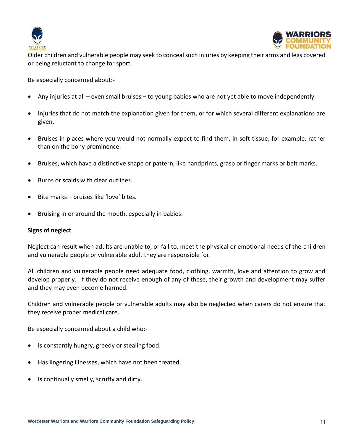



Older children and vulnerable people may seek to conceal such injuries by keeping their arms and legs covered or being reluctant to change for sport.

Be especially concerned about:-

- Any injuries at all even small bruises to young babies who are not yet able to move independently.
- Injuries that do not match the explanation given for them, or for which several different explanations are given.
- Bruises in places where you would not normally expect to find them, in soft tissue, for example, rather than on the bony prominence.
- Bruises, which have a distinctive shape or pattern, like handprints, grasp or finger marks or belt marks.
- Burns or scalds with clear outlines.
- Bite marks bruises like 'love' bites.
- Bruising in or around the mouth, especially in babies.

### **Signs of neglect**

Neglect can result when adults are unable to, or fail to, meet the physical or emotional needs of the children and vulnerable people or vulnerable adult they are responsible for.

All children and vulnerable people need adequate food, clothing, warmth, love and attention to grow and develop properly. If they do not receive enough of any of these, their growth and development may suffer and they may even become harmed.

Children and vulnerable people or vulnerable adults may also be neglected when carers do not ensure that they receive proper medical care.

Be especially concerned about a child who:-

- Is constantly hungry, greedy or stealing food.
- Has lingering illnesses, which have not been treated.
- Is continually smelly, scruffy and dirty.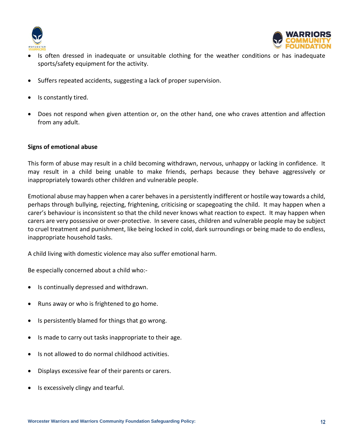



- Is often dressed in inadequate or unsuitable clothing for the weather conditions or has inadequate sports/safety equipment for the activity.
- Suffers repeated accidents, suggesting a lack of proper supervision.
- Is constantly tired.
- Does not respond when given attention or, on the other hand, one who craves attention and affection from any adult.

## **Signs of emotional abuse**

This form of abuse may result in a child becoming withdrawn, nervous, unhappy or lacking in confidence. It may result in a child being unable to make friends, perhaps because they behave aggressively or inappropriately towards other children and vulnerable people.

Emotional abuse may happen when a carer behaves in a persistently indifferent or hostile way towards a child, perhaps through bullying, rejecting, frightening, criticising or scapegoating the child. It may happen when a carer's behaviour is inconsistent so that the child never knows what reaction to expect. It may happen when carers are very possessive or over-protective. In severe cases, children and vulnerable people may be subject to cruel treatment and punishment, like being locked in cold, dark surroundings or being made to do endless, inappropriate household tasks.

A child living with domestic violence may also suffer emotional harm.

Be especially concerned about a child who:-

- Is continually depressed and withdrawn.
- Runs away or who is frightened to go home.
- Is persistently blamed for things that go wrong.
- Is made to carry out tasks inappropriate to their age.
- Is not allowed to do normal childhood activities.
- Displays excessive fear of their parents or carers.
- Is excessively clingy and tearful.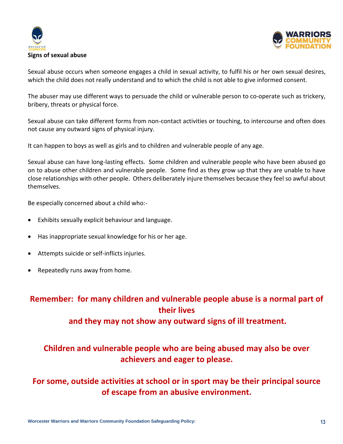



Sexual abuse occurs when someone engages a child in sexual activity, to fulfil his or her own sexual desires, which the child does not really understand and to which the child is not able to give informed consent.

The abuser may use different ways to persuade the child or vulnerable person to co-operate such as trickery, bribery, threats or physical force.

Sexual abuse can take different forms from non-contact activities or touching, to intercourse and often does not cause any outward signs of physical injury.

It can happen to boys as well as girls and to children and vulnerable people of any age.

Sexual abuse can have long-lasting effects. Some children and vulnerable people who have been abused go on to abuse other children and vulnerable people. Some find as they grow up that they are unable to have close relationships with other people. Others deliberately injure themselves because they feel so awful about themselves.

Be especially concerned about a child who:-

- Exhibits sexually explicit behaviour and language.
- Has inappropriate sexual knowledge for his or her age.
- Attempts suicide or self-inflicts injuries.
- Repeatedly runs away from home.

# **Remember: for many children and vulnerable people abuse is a normal part of their lives**

**and they may not show any outward signs of ill treatment.**

# **Children and vulnerable people who are being abused may also be over achievers and eager to please.**

# **For some, outside activities at school or in sport may be their principal source of escape from an abusive environment.**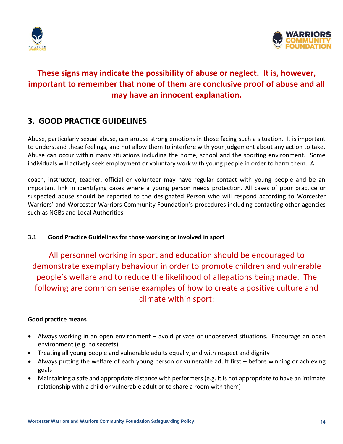



# **These signs may indicate the possibility of abuse or neglect. It is, however, important to remember that none of them are conclusive proof of abuse and all may have an innocent explanation.**

## **3. GOOD PRACTICE GUIDELINES**

Abuse, particularly sexual abuse, can arouse strong emotions in those facing such a situation. It is important to understand these feelings, and not allow them to interfere with your judgement about any action to take. Abuse can occur within many situations including the home, school and the sporting environment. Some individuals will actively seek employment or voluntary work with young people in order to harm them. A

coach, instructor, teacher, official or volunteer may have regular contact with young people and be an important link in identifying cases where a young person needs protection. All cases of poor practice or suspected abuse should be reported to the designated Person who will respond according to Worcester Warriors' and Worcester Warriors Community Foundation's procedures including contacting other agencies such as NGBs and Local Authorities.

## **3.1 Good Practice Guidelines for those working or involved in sport**

All personnel working in sport and education should be encouraged to demonstrate exemplary behaviour in order to promote children and vulnerable people's welfare and to reduce the likelihood of allegations being made. The following are common sense examples of how to create a positive culture and climate within sport:

## **Good practice means**

- Always working in an open environment avoid private or unobserved situations. Encourage an open environment (e.g. no secrets)
- Treating all young people and vulnerable adults equally, and with respect and dignity
- Always putting the welfare of each young person or vulnerable adult first before winning or achieving goals
- Maintaining a safe and appropriate distance with performers (e.g. it is not appropriate to have an intimate relationship with a child or vulnerable adult or to share a room with them)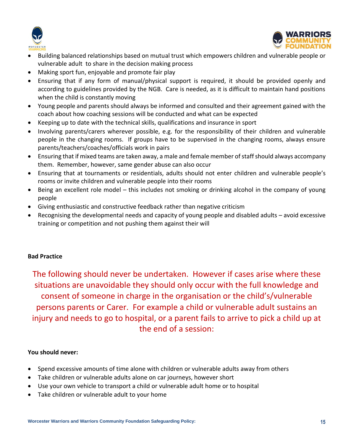



- Building balanced relationships based on mutual trust which empowers children and vulnerable people or vulnerable adult to share in the decision making process
- Making sport fun, enjoyable and promote fair play
- Ensuring that if any form of manual/physical support is required, it should be provided openly and according to guidelines provided by the NGB. Care is needed, as it is difficult to maintain hand positions when the child is constantly moving
- Young people and parents should always be informed and consulted and their agreement gained with the coach about how coaching sessions will be conducted and what can be expected
- Keeping up to date with the technical skills, qualifications and insurance in sport
- Involving parents/carers wherever possible, e.g. for the responsibility of their children and vulnerable people in the changing rooms. If groups have to be supervised in the changing rooms, always ensure parents/teachers/coaches/officials work in pairs
- Ensuring that if mixed teams are taken away, a male and female member of staff should always accompany them. Remember, however, same gender abuse can also occur
- Ensuring that at tournaments or residentials, adults should not enter children and vulnerable people's rooms or invite children and vulnerable people into their rooms
- Being an excellent role model this includes not smoking or drinking alcohol in the company of young people
- Giving enthusiastic and constructive feedback rather than negative criticism
- Recognising the developmental needs and capacity of young people and disabled adults avoid excessive training or competition and not pushing them against their will

## **Bad Practice**

The following should never be undertaken. However if cases arise where these situations are unavoidable they should only occur with the full knowledge and consent of someone in charge in the organisation or the child's/vulnerable persons parents or Carer. For example a child or vulnerable adult sustains an injury and needs to go to hospital, or a parent fails to arrive to pick a child up at the end of a session:

## **You should never:**

- Spend excessive amounts of time alone with children or vulnerable adults away from others
- Take children or vulnerable adults alone on car journeys, however short
- Use your own vehicle to transport a child or vulnerable adult home or to hospital
- Take children or vulnerable adult to your home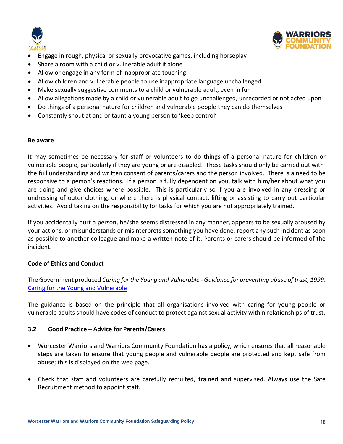



- Engage in rough, physical or sexually provocative games, including horseplay
- Share a room with a child or vulnerable adult if alone
- Allow or engage in any form of inappropriate touching
- Allow children and vulnerable people to use inappropriate language unchallenged
- Make sexually suggestive comments to a child or vulnerable adult, even in fun
- Allow allegations made by a child or vulnerable adult to go unchallenged, unrecorded or not acted upon
- Do things of a personal nature for children and vulnerable people they can do themselves
- Constantly shout at and or taunt a young person to 'keep control'

### **Be aware**

It may sometimes be necessary for staff or volunteers to do things of a personal nature for children or vulnerable people, particularly if they are young or are disabled. These tasks should only be carried out with the full understanding and written consent of parents/carers and the person involved. There is a need to be responsive to a person's reactions. If a person is fully dependent on you, talk with him/her about what you are doing and give choices where possible. This is particularly so if you are involved in any dressing or undressing of outer clothing, or where there is physical contact, lifting or assisting to carry out particular activities. Avoid taking on the responsibility for tasks for which you are not appropriately trained.

If you accidentally hurt a person, he/she seems distressed in any manner, appears to be sexually aroused by your actions, or misunderstands or misinterprets something you have done, report any such incident as soon as possible to another colleague and make a written note of it. Parents or carers should be informed of the incident.

## **Code of Ethics and Conduct**

The Government produced *Caring for the Young and Vulnerable - Guidance for preventing abuse of trust, 1999*. [Caring for the Young and Vulnerable](https://www.scie-socialcareonline.org.uk/caring-for-young-people-and-the-vulnerable-guidance-for-preventing-abuse-of-trust/r/a11G00000017sQsIAI)

The guidance is based on the principle that all organisations involved with caring for young people or vulnerable adults should have codes of conduct to protect against sexual activity within relationships of trust.

## **3.2 Good Practice – Advice for Parents/Carers**

- Worcester Warriors and Warriors Community Foundation has a policy, which ensures that all reasonable steps are taken to ensure that young people and vulnerable people are protected and kept safe from abuse; this is displayed on the web page.
- Check that staff and volunteers are carefully recruited, trained and supervised. Always use the Safe Recruitment method to appoint staff.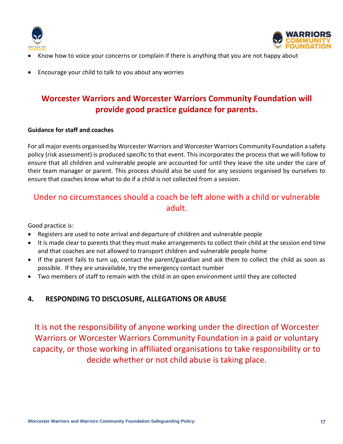



- Know how to voice your concerns or complain if there is anything that you are not happy about
- Encourage your child to talk to you about any worries

# **Worcester Warriors and Worcester Warriors Community Foundation will provide good practice guidance for parents.**

## **Guidance for staff and coaches**

For all major events organised by Worcester Warriors and Worcester Warriors Community Foundation a safety policy (risk assessment) is produced specific to that event. This incorporates the process that we will follow to ensure that all children and vulnerable people are accounted for until they leave the site under the care of their team manager or parent. This process should also be used for any sessions organised by ourselves to ensure that coaches know what to do if a child is not collected from a session.

# Under no circumstances should a coach be left alone with a child or vulnerable adult.

Good practice is:

- Registers are used to note arrival and departure of children and vulnerable people
- It is made clear to parents that they must make arrangements to collect their child at the session end time and that coaches are not allowed to transport children and vulnerable people home
- If the parent fails to turn up, contact the parent/guardian and ask them to collect the child as soon as possible. If they are unavailable, try the emergency contact number
- Two members of staff to remain with the child in an open environment until they are collected

## **4. RESPONDING TO DISCLOSURE, ALLEGATIONS OR ABUSE**

It is not the responsibility of anyone working under the direction of Worcester Warriors or Worcester Warriors Community Foundation in a paid or voluntary capacity, or those working in affiliated organisations to take responsibility or to decide whether or not child abuse is taking place.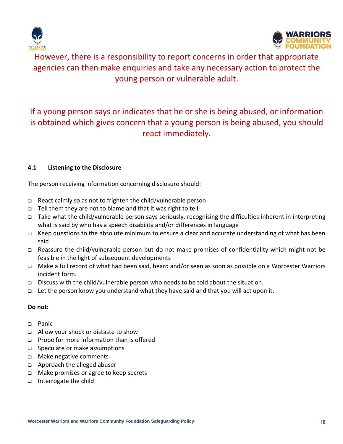



However, there is a responsibility to report concerns in order that appropriate agencies can then make enquiries and take any necessary action to protect the young person or vulnerable adult.

# If a young person says or indicates that he or she is being abused, or information is obtained which gives concern that a young person is being abused, you should react immediately.

## **4.1 Listening to the Disclosure**

The person receiving information concerning disclosure should:

- ❑ React calmly so as not to frighten the child/vulnerable person
- ❑ Tell them they are not to blame and that it was right to tell
- ❑ Take what the child/vulnerable person says seriously, recognising the difficulties inherent in interpreting what is said by who has a speech disability and/or differences in language
- ❑ Keep questions to the absolute minimum to ensure a clear and accurate understanding of what has been said
- ❑ Reassure the child/vulnerable person but do not make promises of confidentiality which might not be feasible in the light of subsequent developments
- ❑ Make a full record of what had been said, heard and/or seen as soon as possible on a Worcester Warriors incident form.
- ❑ Discuss with the child/vulnerable person who needs to be told about the situation.
- ❑ Let the person know you understand what they have said and that you will act upon it.

## **Do not:**

- ❑ Panic
- ❑ Allow your shock or distaste to show
- ❑ Probe for more information than is offered
- ❑ Speculate or make assumptions
- ❑ Make negative comments
- ❑ Approach the alleged abuser
- ❑ Make promises or agree to keep secrets
- ❑ Interrogate the child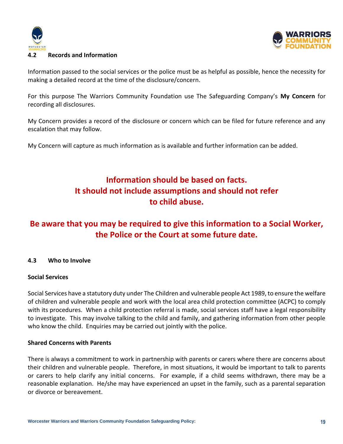



## **4.2 Records and Information**

Information passed to the social services or the police must be as helpful as possible, hence the necessity for making a detailed record at the time of the disclosure/concern.

For this purpose The Warriors Community Foundation use The Safeguarding Company's **My Concern** for recording all disclosures.

My Concern provides a record of the disclosure or concern which can be filed for future reference and any escalation that may follow.

My Concern will capture as much information as is available and further information can be added.

# **Information should be based on facts. It should not include assumptions and should not refer to child abuse.**

# **Be aware that you may be required to give this information to a Social Worker, the Police or the Court at some future date.**

## **4.3 Who to Involve**

## **Social Services**

Social Services have a statutory duty under The Children and vulnerable people Act 1989, to ensure the welfare of children and vulnerable people and work with the local area child protection committee (ACPC) to comply with its procedures. When a child protection referral is made, social services staff have a legal responsibility to investigate. This may involve talking to the child and family, and gathering information from other people who know the child. Enquiries may be carried out jointly with the police.

## **Shared Concerns with Parents**

There is always a commitment to work in partnership with parents or carers where there are concerns about their children and vulnerable people. Therefore, in most situations, it would be important to talk to parents or carers to help clarify any initial concerns. For example, if a child seems withdrawn, there may be a reasonable explanation. He/she may have experienced an upset in the family, such as a parental separation or divorce or bereavement.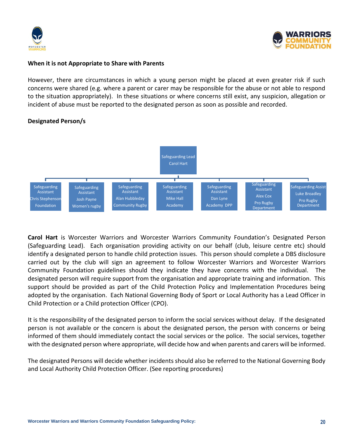



### **When it is not Appropriate to Share with Parents**

However, there are circumstances in which a young person might be placed at even greater risk if such concerns were shared (e.g. where a parent or carer may be responsible for the abuse or not able to respond to the situation appropriately). In these situations or where concerns still exist, any suspicion, allegation or incident of abuse must be reported to the designated person as soon as possible and recorded.



## **Designated Person/s**

**Carol Hart** is Worcester Warriors and Worcester Warriors Community Foundation's Designated Person (Safeguarding Lead). Each organisation providing activity on our behalf (club, leisure centre etc) should identify a designated person to handle child protection issues. This person should complete a DBS disclosure carried out by the club will sign an agreement to follow Worcester Warriors and Worcester Warriors Community Foundation guidelines should they indicate they have concerns with the individual. The designated person will require support from the organisation and appropriate training and information. This support should be provided as part of the Child Protection Policy and Implementation Procedures being adopted by the organisation. Each National Governing Body of Sport or Local Authority has a Lead Officer in Child Protection or a Child protection Officer (CPO).

It is the responsibility of the designated person to inform the social services without delay. If the designated person is not available or the concern is about the designated person, the person with concerns or being informed of them should immediately contact the social services or the police. The social services, together with the designated person where appropriate, will decide how and when parents and carers will be informed.

The designated Persons will decide whether incidents should also be referred to the National Governing Body and Local Authority Child Protection Officer. (See reporting procedures)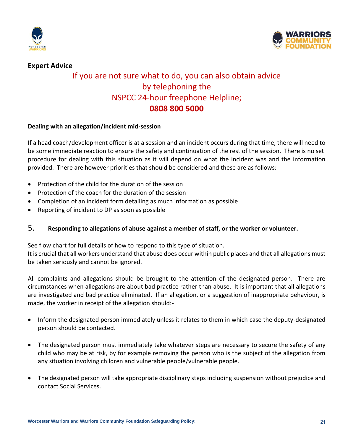

**Expert Advice**



# If you are not sure what to do, you can also obtain advice by telephoning the NSPCC 24-hour freephone Helpline; **0808 800 5000**

## **Dealing with an allegation/incident mid-session**

If a head coach/development officer is at a session and an incident occurs during that time, there will need to be some immediate reaction to ensure the safety and continuation of the rest of the session. There is no set procedure for dealing with this situation as it will depend on what the incident was and the information provided. There are however priorities that should be considered and these are as follows:

- Protection of the child for the duration of the session
- Protection of the coach for the duration of the session
- Completion of an incident form detailing as much information as possible
- Reporting of incident to DP as soon as possible

## 5. **Responding to allegations of abuse against a member of staff, or the worker or volunteer.**

See flow chart for full details of how to respond to this type of situation.

It is crucial that all workers understand that abuse does occur within public places and that all allegations must be taken seriously and cannot be ignored.

All complaints and allegations should be brought to the attention of the designated person. There are circumstances when allegations are about bad practice rather than abuse. It is important that all allegations are investigated and bad practice eliminated. If an allegation, or a suggestion of inappropriate behaviour, is made, the worker in receipt of the allegation should:-

- Inform the designated person immediately unless it relates to them in which case the deputy-designated person should be contacted.
- The designated person must immediately take whatever steps are necessary to secure the safety of any child who may be at risk, by for example removing the person who is the subject of the allegation from any situation involving children and vulnerable people/vulnerable people.
- The designated person will take appropriate disciplinary steps including suspension without prejudice and contact Social Services.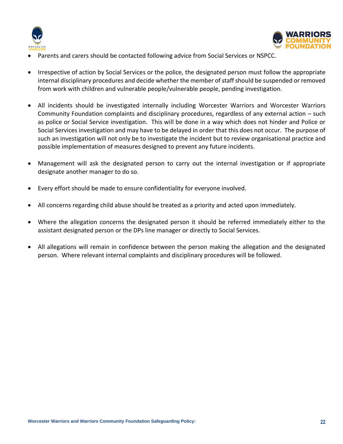



- Parents and carers should be contacted following advice from Social Services or NSPCC.
- Irrespective of action by Social Services or the police, the designated person must follow the appropriate internal disciplinary procedures and decide whether the member of staff should be suspended or removed from work with children and vulnerable people/vulnerable people, pending investigation.
- All incidents should be investigated internally including Worcester Warriors and Worcester Warriors Community Foundation complaints and disciplinary procedures, regardless of any external action – such as police or Social Service investigation. This will be done in a way which does not hinder and Police or Social Services investigation and may have to be delayed in order that this does not occur. The purpose of such an investigation will not only be to investigate the incident but to review organisational practice and possible implementation of measures designed to prevent any future incidents.
- Management will ask the designated person to carry out the internal investigation or if appropriate designate another manager to do so.
- Every effort should be made to ensure confidentiality for everyone involved.
- All concerns regarding child abuse should be treated as a priority and acted upon immediately.
- Where the allegation concerns the designated person it should be referred immediately either to the assistant designated person or the DPs line manager or directly to Social Services.
- All allegations will remain in confidence between the person making the allegation and the designated person. Where relevant internal complaints and disciplinary procedures will be followed.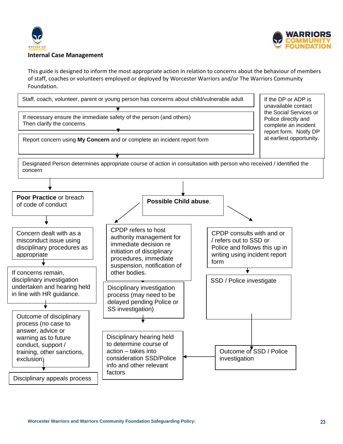



#### **Internal Case Management**

This guide is designed to inform the most appropriate action in relation to concerns about the behaviour of members of staff, coaches or volunteers employed or deployed by Worcester Warriors and/or The Warriors Community Foundation.

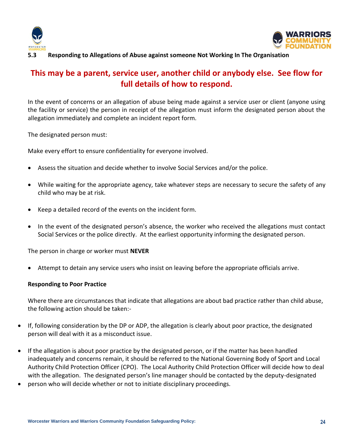



## **5.3 Responding to Allegations of Abuse against someone Not Working In The Organisation**

## **This may be a parent, service user, another child or anybody else. See flow for full details of how to respond.**

In the event of concerns or an allegation of abuse being made against a service user or client (anyone using the facility or service) the person in receipt of the allegation must inform the designated person about the allegation immediately and complete an incident report form.

The designated person must:

Make every effort to ensure confidentiality for everyone involved.

- Assess the situation and decide whether to involve Social Services and/or the police.
- While waiting for the appropriate agency, take whatever steps are necessary to secure the safety of any child who may be at risk.
- Keep a detailed record of the events on the incident form.
- In the event of the designated person's absence, the worker who received the allegations must contact Social Services or the police directly. At the earliest opportunity informing the designated person.

The person in charge or worker must **NEVER**

• Attempt to detain any service users who insist on leaving before the appropriate officials arrive.

### **Responding to Poor Practice**

Where there are circumstances that indicate that allegations are about bad practice rather than child abuse, the following action should be taken:-

- If, following consideration by the DP or ADP, the allegation is clearly about poor practice, the designated person will deal with it as a misconduct issue.
- If the allegation is about poor practice by the designated person, or if the matter has been handled inadequately and concerns remain, it should be referred to the National Governing Body of Sport and Local Authority Child Protection Officer (CPO). The Local Authority Child Protection Officer will decide how to deal with the allegation. The designated person's line manager should be contacted by the deputy-designated
- person who will decide whether or not to initiate disciplinary proceedings.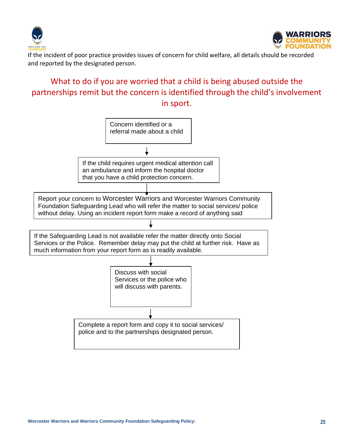



If the incident of poor practice provides issues of concern for child welfare, all details should be recorded and reported by the designated person.

# What to do if you are worried that a child is being abused outside the partnerships remit but the concern is identified through the child's involvement in sport.

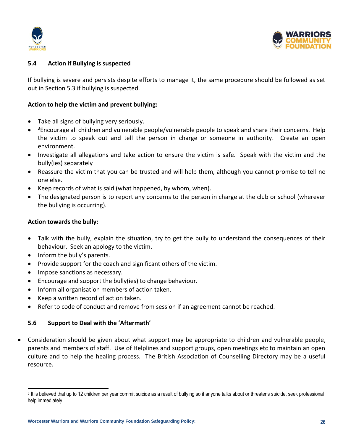



## **5.4 Action if Bullying is suspected**

If bullying is severe and persists despite efforts to manage it, the same procedure should be followed as set out in Section 5.3 if bullying is suspected.

## **Action to help the victim and prevent bullying:**

- Take all signs of bullying very seriously.
- <sup>3</sup>Encourage all children and vulnerable people/vulnerable people to speak and share their concerns. Help the victim to speak out and tell the person in charge or someone in authority. Create an open environment.
- Investigate all allegations and take action to ensure the victim is safe. Speak with the victim and the bully(ies) separately
- Reassure the victim that you can be trusted and will help them, although you cannot promise to tell no one else.
- Keep records of what is said (what happened, by whom, when).
- The designated person is to report any concerns to the person in charge at the club or school (wherever the bullying is occurring).

## **Action towards the bully:**

- Talk with the bully, explain the situation, try to get the bully to understand the consequences of their behaviour. Seek an apology to the victim.
- Inform the bully's parents.
- Provide support for the coach and significant others of the victim.
- Impose sanctions as necessary.
- Encourage and support the bully(ies) to change behaviour.
- Inform all organisation members of action taken.
- Keep a written record of action taken.
- Refer to code of conduct and remove from session if an agreement cannot be reached.

### **5.6 Support to Deal with the 'Aftermath'**

• Consideration should be given about what support may be appropriate to children and vulnerable people, parents and members of staff. Use of Helplines and support groups, open meetings etc to maintain an open culture and to help the healing process. The British Association of Counselling Directory may be a useful resource.

<sup>&</sup>lt;sup>3</sup> It is believed that up to 12 children per year commit suicide as a result of bullying so if anyone talks about or threatens suicide, seek professional help immediately.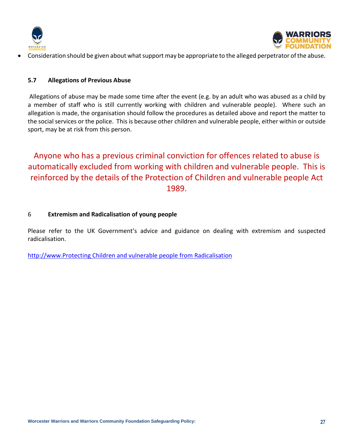



• Consideration should be given about what support may be appropriate to the alleged perpetrator of the abuse.

## **5.7 Allegations of Previous Abuse**

Allegations of abuse may be made some time after the event (e.g. by an adult who was abused as a child by a member of staff who is still currently working with children and vulnerable people). Where such an allegation is made, the organisation should follow the procedures as detailed above and report the matter to the social services or the police. This is because other children and vulnerable people, either within or outside sport, may be at risk from this person.

Anyone who has a previous criminal conviction for offences related to abuse is automatically excluded from working with children and vulnerable people. This is reinforced by the details of the Protection of Children and vulnerable people Act 1989.

## 6 **Extremism and Radicalisation of young people**

Please refer to the UK Government's advice and guidance on dealing with extremism and suspected radicalisation.

[http://www.Protecting Children and vulnerable people](https://www.gov.uk/government/publications/protecting-children-from-radicalisation-the-prevent-duty) from Radicalisation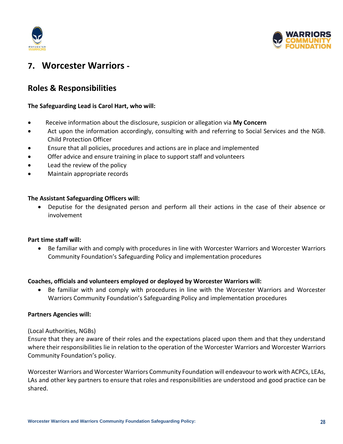



# **7. Worcester Warriors -**

## **Roles & Responsibilities**

## **The Safeguarding Lead is Carol Hart, who will:**

- Receive information about the disclosure, suspicion or allegation via **My Concern**
- Act upon the information accordingly, consulting with and referring to Social Services and the NGB. Child Protection Officer
- Ensure that all policies, procedures and actions are in place and implemented
- Offer advice and ensure training in place to support staff and volunteers
- Lead the review of the policy
- Maintain appropriate records

## **The Assistant Safeguarding Officers will:**

• Deputise for the designated person and perform all their actions in the case of their absence or involvement

## **Part time staff will:**

• Be familiar with and comply with procedures in line with Worcester Warriors and Worcester Warriors Community Foundation's Safeguarding Policy and implementation procedures

## **Coaches, officials and volunteers employed or deployed by Worcester Warriors will:**

• Be familiar with and comply with procedures in line with the Worcester Warriors and Worcester Warriors Community Foundation's Safeguarding Policy and implementation procedures

## **Partners Agencies will:**

### (Local Authorities, NGBs)

Ensure that they are aware of their roles and the expectations placed upon them and that they understand where their responsibilities lie in relation to the operation of the Worcester Warriors and Worcester Warriors Community Foundation's policy.

Worcester Warriors and Worcester Warriors Community Foundation will endeavour to work with ACPCs, LEAs, LAs and other key partners to ensure that roles and responsibilities are understood and good practice can be shared.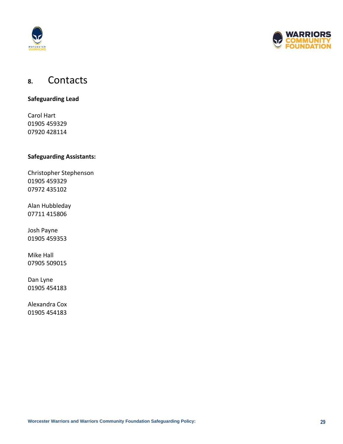



# **8.** Contacts

**Safeguarding Lead**

Carol Hart 01905 459329 07920 428114

## **Safeguarding Assistants:**

Christopher Stephenson 01905 459329 07972 435102

Alan Hubbleday 07711 415806

Josh Payne 01905 459353

Mike Hall 07905 509015

Dan Lyne 01905 454183

Alexandra Cox 01905 454183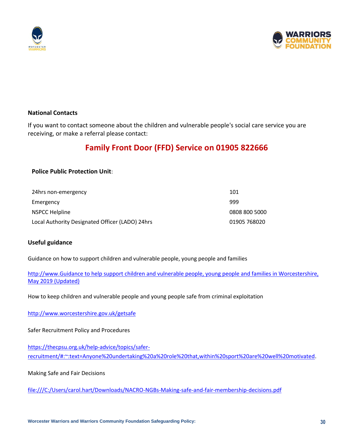



## **National Contacts**

If you want to contact someone about the children and vulnerable people's social care service you are receiving, or make a referral please contact:

# **Family Front Door (FFD) Service on 01905 822666**

## **Police Public Protection Unit**:

| 24hrs non-emergency                             | 101           |
|-------------------------------------------------|---------------|
| Emergency                                       | 999           |
| NSPCC Helpline                                  | 0808 800 5000 |
| Local Authority Designated Officer (LADO) 24hrs | 01905 768020  |

## **Useful guidance**

Guidance on how to support children and vulnerable people, young people and families

http://www.Guidance to help support [children and vulnerable people, young people and families in Worcestershire,](file:///C:/Users/Carol.Hart/Downloads/Levels_of_Need_Document__formerly_Thresholds_document__updated_May_2019.pdf)  [May 2019 \(Updated\)](file:///C:/Users/Carol.Hart/Downloads/Levels_of_Need_Document__formerly_Thresholds_document__updated_May_2019.pdf)

How to keep children and vulnerable people and young people safe from criminal exploitation

<http://www.worcestershire.gov.uk/getsafe>

Safer Recruitment Policy and Procedures

[https://thecpsu.org.uk/help-advice/topics/safer](https://thecpsu.org.uk/help-advice/topics/safer-recruitment/#:~:text=Anyone%20undertaking%20a%20role%20that,within%20sport%20are%20well%20motivated)[recruitment/#:~:text=Anyone%20undertaking%20a%20role%20that,within%20sport%20are%20well%20motivated.](https://thecpsu.org.uk/help-advice/topics/safer-recruitment/#:~:text=Anyone%20undertaking%20a%20role%20that,within%20sport%20are%20well%20motivated)

Making Safe and Fair Decisions

<file:///C:/Users/carol.hart/Downloads/NACRO-NGBs-Making-safe-and-fair-membership-decisions.pdf>